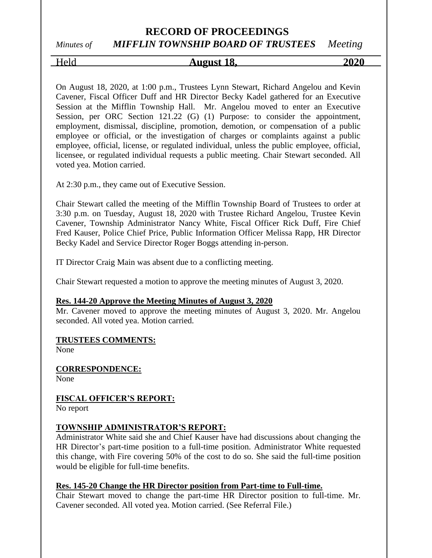# *Minutes of MIFFLIN TOWNSHIP BOARD OF TRUSTEES Meeting*

# Held **August 18, 2020**

On August 18, 2020, at 1:00 p.m., Trustees Lynn Stewart, Richard Angelou and Kevin Cavener, Fiscal Officer Duff and HR Director Becky Kadel gathered for an Executive Session at the Mifflin Township Hall. Mr. Angelou moved to enter an Executive Session, per ORC Section 121.22 (G) (1) Purpose: to consider the appointment, employment, dismissal, discipline, promotion, demotion, or compensation of a public employee or official, or the investigation of charges or complaints against a public employee, official, license, or regulated individual, unless the public employee, official, licensee, or regulated individual requests a public meeting. Chair Stewart seconded. All voted yea. Motion carried.

At 2:30 p.m., they came out of Executive Session.

Chair Stewart called the meeting of the Mifflin Township Board of Trustees to order at 3:30 p.m. on Tuesday, August 18, 2020 with Trustee Richard Angelou, Trustee Kevin Cavener, Township Administrator Nancy White, Fiscal Officer Rick Duff, Fire Chief Fred Kauser, Police Chief Price, Public Information Officer Melissa Rapp, HR Director Becky Kadel and Service Director Roger Boggs attending in-person.

IT Director Craig Main was absent due to a conflicting meeting.

Chair Stewart requested a motion to approve the meeting minutes of August 3, 2020.

#### **Res. 144-20 Approve the Meeting Minutes of August 3, 2020**

Mr. Cavener moved to approve the meeting minutes of August 3, 2020. Mr. Angelou seconded. All voted yea. Motion carried.

#### **TRUSTEES COMMENTS:**

None

**CORRESPONDENCE:**

None

## **FISCAL OFFICER'S REPORT:**

No report

#### **TOWNSHIP ADMINISTRATOR'S REPORT:**

Administrator White said she and Chief Kauser have had discussions about changing the HR Director's part-time position to a full-time position. Administrator White requested this change, with Fire covering 50% of the cost to do so. She said the full-time position would be eligible for full-time benefits.

#### **Res. 145-20 Change the HR Director position from Part-time to Full-time.**

Chair Stewart moved to change the part-time HR Director position to full-time. Mr. Cavener seconded. All voted yea. Motion carried. (See Referral File.)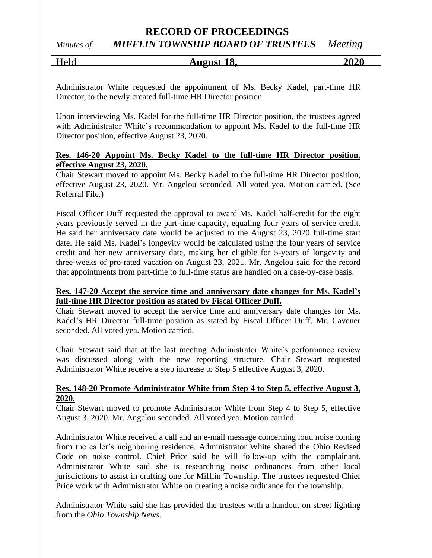## *Minutes of MIFFLIN TOWNSHIP BOARD OF TRUSTEES Meeting*

Held **August 18, 2020**

Administrator White requested the appointment of Ms. Becky Kadel, part-time HR Director, to the newly created full-time HR Director position.

Upon interviewing Ms. Kadel for the full-time HR Director position, the trustees agreed with Administrator White's recommendation to appoint Ms. Kadel to the full-time HR Director position, effective August 23, 2020.

#### **Res. 146-20 Appoint Ms. Becky Kadel to the full-time HR Director position, effective August 23, 2020.**

Chair Stewart moved to appoint Ms. Becky Kadel to the full-time HR Director position, effective August 23, 2020. Mr. Angelou seconded. All voted yea. Motion carried. (See Referral File.)

Fiscal Officer Duff requested the approval to award Ms. Kadel half-credit for the eight years previously served in the part-time capacity, equaling four years of service credit. He said her anniversary date would be adjusted to the August 23, 2020 full-time start date. He said Ms. Kadel's longevity would be calculated using the four years of service credit and her new anniversary date, making her eligible for 5-years of longevity and three-weeks of pro-rated vacation on August 23, 2021. Mr. Angelou said for the record that appointments from part-time to full-time status are handled on a case-by-case basis.

#### **Res. 147-20 Accept the service time and anniversary date changes for Ms. Kadel's full-time HR Director position as stated by Fiscal Officer Duff.**

Chair Stewart moved to accept the service time and anniversary date changes for Ms. Kadel's HR Director full-time position as stated by Fiscal Officer Duff. Mr. Cavener seconded. All voted yea. Motion carried.

Chair Stewart said that at the last meeting Administrator White's performance review was discussed along with the new reporting structure. Chair Stewart requested Administrator White receive a step increase to Step 5 effective August 3, 2020.

#### **Res. 148-20 Promote Administrator White from Step 4 to Step 5, effective August 3, 2020.**

Chair Stewart moved to promote Administrator White from Step 4 to Step 5, effective August 3, 2020. Mr. Angelou seconded. All voted yea. Motion carried.

Administrator White received a call and an e-mail message concerning loud noise coming from the caller's neighboring residence. Administrator White shared the Ohio Revised Code on noise control. Chief Price said he will follow-up with the complainant. Administrator White said she is researching noise ordinances from other local jurisdictions to assist in crafting one for Mifflin Township. The trustees requested Chief Price work with Administrator White on creating a noise ordinance for the township.

Administrator White said she has provided the trustees with a handout on street lighting from the *Ohio Township News.*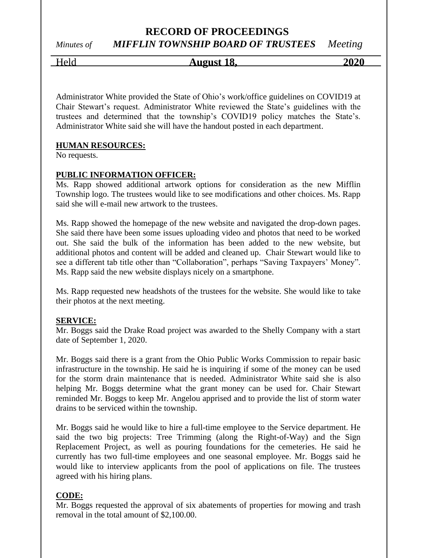# *Minutes of MIFFLIN TOWNSHIP BOARD OF TRUSTEES Meeting*

Held **August 18, 2020**

Administrator White provided the State of Ohio's work/office guidelines on COVID19 at Chair Stewart's request. Administrator White reviewed the State's guidelines with the trustees and determined that the township's COVID19 policy matches the State's. Administrator White said she will have the handout posted in each department.

#### **HUMAN RESOURCES:**

No requests.

#### **PUBLIC INFORMATION OFFICER:**

Ms. Rapp showed additional artwork options for consideration as the new Mifflin Township logo. The trustees would like to see modifications and other choices. Ms. Rapp said she will e-mail new artwork to the trustees.

Ms. Rapp showed the homepage of the new website and navigated the drop-down pages. She said there have been some issues uploading video and photos that need to be worked out. She said the bulk of the information has been added to the new website, but additional photos and content will be added and cleaned up. Chair Stewart would like to see a different tab title other than "Collaboration", perhaps "Saving Taxpayers' Money". Ms. Rapp said the new website displays nicely on a smartphone.

Ms. Rapp requested new headshots of the trustees for the website. She would like to take their photos at the next meeting.

#### **SERVICE:**

Mr. Boggs said the Drake Road project was awarded to the Shelly Company with a start date of September 1, 2020.

Mr. Boggs said there is a grant from the Ohio Public Works Commission to repair basic infrastructure in the township. He said he is inquiring if some of the money can be used for the storm drain maintenance that is needed. Administrator White said she is also helping Mr. Boggs determine what the grant money can be used for. Chair Stewart reminded Mr. Boggs to keep Mr. Angelou apprised and to provide the list of storm water drains to be serviced within the township.

Mr. Boggs said he would like to hire a full-time employee to the Service department. He said the two big projects: Tree Trimming (along the Right-of-Way) and the Sign Replacement Project, as well as pouring foundations for the cemeteries. He said he currently has two full-time employees and one seasonal employee. Mr. Boggs said he would like to interview applicants from the pool of applications on file. The trustees agreed with his hiring plans.

#### **CODE:**

Mr. Boggs requested the approval of six abatements of properties for mowing and trash removal in the total amount of \$2,100.00.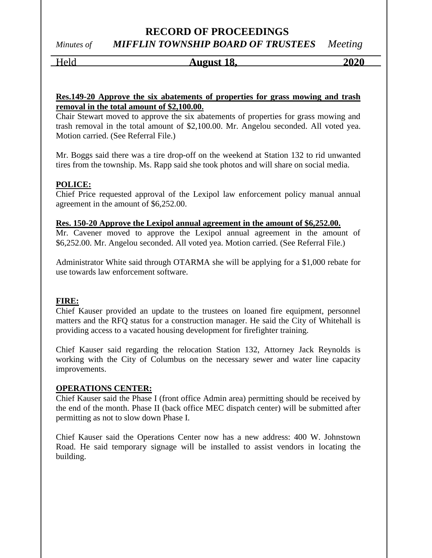# *Minutes of MIFFLIN TOWNSHIP BOARD OF TRUSTEES Meeting*

Held **August 18, 2020**

#### **Res.149-20 Approve the six abatements of properties for grass mowing and trash removal in the total amount of \$2,100.00.**

Chair Stewart moved to approve the six abatements of properties for grass mowing and trash removal in the total amount of \$2,100.00. Mr. Angelou seconded. All voted yea. Motion carried. (See Referral File.)

Mr. Boggs said there was a tire drop-off on the weekend at Station 132 to rid unwanted tires from the township. Ms. Rapp said she took photos and will share on social media.

#### **POLICE:**

Chief Price requested approval of the Lexipol law enforcement policy manual annual agreement in the amount of \$6,252.00.

#### **Res. 150-20 Approve the Lexipol annual agreement in the amount of \$6,252.00.**

Mr. Cavener moved to approve the Lexipol annual agreement in the amount of \$6,252.00. Mr. Angelou seconded. All voted yea. Motion carried. (See Referral File.)

Administrator White said through OTARMA she will be applying for a \$1,000 rebate for use towards law enforcement software.

#### **FIRE:**

Chief Kauser provided an update to the trustees on loaned fire equipment, personnel matters and the RFQ status for a construction manager. He said the City of Whitehall is providing access to a vacated housing development for firefighter training.

Chief Kauser said regarding the relocation Station 132, Attorney Jack Reynolds is working with the City of Columbus on the necessary sewer and water line capacity improvements.

#### **OPERATIONS CENTER:**

Chief Kauser said the Phase I (front office Admin area) permitting should be received by the end of the month. Phase II (back office MEC dispatch center) will be submitted after permitting as not to slow down Phase I.

Chief Kauser said the Operations Center now has a new address: 400 W. Johnstown Road. He said temporary signage will be installed to assist vendors in locating the building.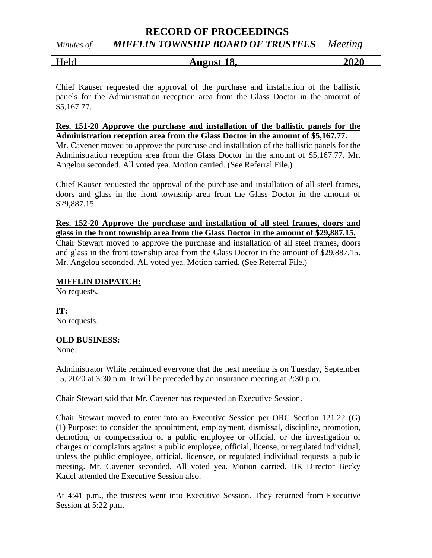# *Minutes of MIFFLIN TOWNSHIP BOARD OF TRUSTEES Meeting*

## Held **August 18, 2020**

Chief Kauser requested the approval of the purchase and installation of the ballistic panels for the Administration reception area from the Glass Doctor in the amount of \$5,167.77.

#### **Res. 151-20 Approve the purchase and installation of the ballistic panels for the Administration reception area from the Glass Doctor in the amount of \$5,167.77.**

Mr. Cavener moved to approve the purchase and installation of the ballistic panels for the Administration reception area from the Glass Doctor in the amount of \$5,167.77. Mr. Angelou seconded. All voted yea. Motion carried. (See Referral File.)

Chief Kauser requested the approval of the purchase and installation of all steel frames, doors and glass in the front township area from the Glass Doctor in the amount of \$29,887.15.

**Res. 152-20 Approve the purchase and installation of all steel frames, doors and glass in the front township area from the Glass Doctor in the amount of \$29,887.15.** 

Chair Stewart moved to approve the purchase and installation of all steel frames, doors and glass in the front township area from the Glass Doctor in the amount of \$29,887.15. Mr. Angelou seconded. All voted yea. Motion carried. (See Referral File.)

#### **MIFFLIN DISPATCH:**

No requests.

**IT:** No requests.

#### **OLD BUSINESS:**

None.

Administrator White reminded everyone that the next meeting is on Tuesday, September 15, 2020 at 3:30 p.m. It will be preceded by an insurance meeting at 2:30 p.m.

Chair Stewart said that Mr. Cavener has requested an Executive Session.

Chair Stewart moved to enter into an Executive Session per ORC Section 121.22 (G) (1) Purpose: to consider the appointment, employment, dismissal, discipline, promotion, demotion, or compensation of a public employee or official, or the investigation of charges or complaints against a public employee, official, license, or regulated individual, unless the public employee, official, licensee, or regulated individual requests a public meeting. Mr. Cavener seconded. All voted yea. Motion carried. HR Director Becky Kadel attended the Executive Session also.

At 4:41 p.m., the trustees went into Executive Session. They returned from Executive Session at 5:22 p.m.